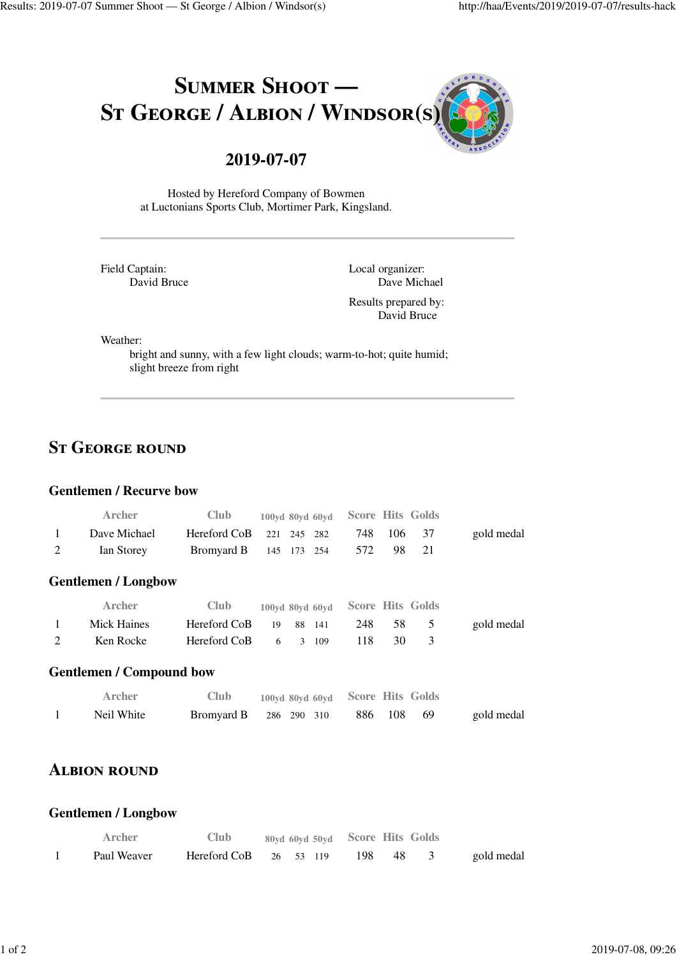

# **2019-07-07**

Hosted by Hereford Company of Bowmen at Luctonians Sports Club, Mortimer Park, Kingsland.

Field Captain: David Bruce Local organizer: Dave Michael Results prepared by: David Bruce

Weather:

bright and sunny, with a few light clouds; warm-to-hot; quite humid; slight breeze from right

## **ST GEORGE ROUND**

#### **Gentlemen / Recurve bow**

|   | Archer                          | <b>Club</b>  | 100vd 80vd 60vd |               |        |     |     | <b>Score Hits Golds</b> |            |
|---|---------------------------------|--------------|-----------------|---------------|--------|-----|-----|-------------------------|------------|
| 1 | Dave Michael                    | Hereford CoB |                 | 221 245 282   |        | 748 | 106 | 37                      | gold medal |
| 2 | Ian Storey                      | Bromyard B   | 145             | 173           | 254    | 572 | 98  | 21                      |            |
|   | <b>Gentlemen / Longbow</b>      |              |                 |               |        |     |     |                         |            |
|   | Archer                          | Club         | 100yd 80yd 60yd |               |        |     |     | <b>Score Hits Golds</b> |            |
| 1 | Mick Haines                     | Hereford CoB | 19              |               | 88 141 | 248 | 58  | 5                       | gold medal |
| 2 | Ken Rocke                       | Hereford CoB | 6               | $\mathcal{F}$ | 109    | 118 | 30  | 3                       |            |
|   | <b>Gentlemen / Compound bow</b> |              |                 |               |        |     |     |                         |            |
|   | Archer                          | Club         | 100vd 80vd 60vd |               |        |     |     | <b>Score Hits Golds</b> |            |
|   | Neil White                      | Bromyard B   | 286             | 290           | 310    | 886 | 108 | 69                      | gold medal |

# **ALBION ROUND**

#### **Gentlemen / Longbow**

| Archer      | <b>Club</b>                          |  | 80yd 60yd 50yd Score Hits Golds |      |            |
|-------------|--------------------------------------|--|---------------------------------|------|------------|
| Paul Weaver | Hereford CoB $26 \quad 53 \quad 119$ |  | -198                            | - 48 | gold medal |